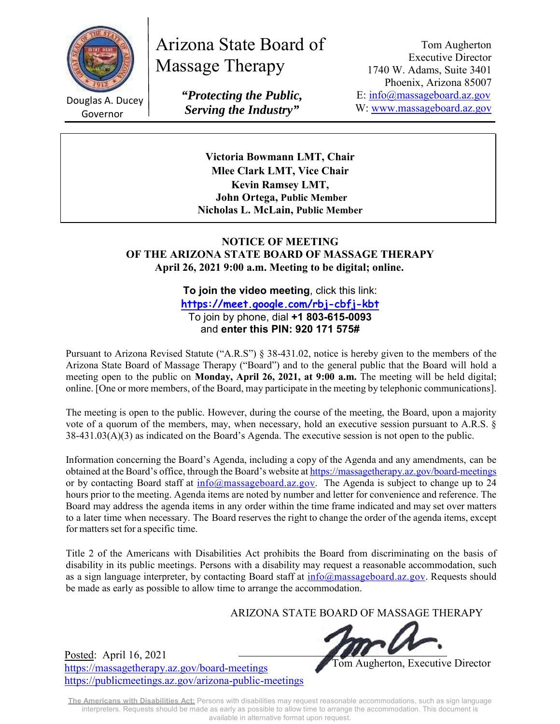

Douglas A. Ducey Governor

# Arizona State Board of Massage Therapy

*"Protecting the Public, Serving the Industry"* 

Tom Augherton Executive Director 1740 W. Adams, Suite 3401 Phoenix, Arizona 85007 E: info@massageboard.az.gov W: www.massageboard.az.gov

**Victoria Bowmann LMT, Chair Mlee Clark LMT, Vice Chair Kevin Ramsey LMT, John Ortega, Public Member Nicholas L. McLain, Public Member**

#### **NOTICE OF MEETING OF THE ARIZONA STATE BOARD OF MASSAGE THERAPY April 26, 2021 9:00 a.m. Meeting to be digital; online.**

**To join the video meeting**, click this link: **https://meet.google.com/rbj-cbfj-kbt**  To join by phone, dial **+1 803-615-0093**  and **enter this PIN: 920 171 575#**

Pursuant to Arizona Revised Statute ("A.R.S") § 38-431.02, notice is hereby given to the members of the Arizona State Board of Massage Therapy ("Board") and to the general public that the Board will hold a meeting open to the public on **Monday, April 26, 2021, at 9:00 a.m.** The meeting will be held digital; online. [One or more members, of the Board, may participate in the meeting by telephonic communications].

The meeting is open to the public. However, during the course of the meeting, the Board, upon a majority vote of a quorum of the members, may, when necessary, hold an executive session pursuant to A.R.S. § 38-431.03(A)(3) as indicated on the Board's Agenda. The executive session is not open to the public.

Information concerning the Board's Agenda, including a copy of the Agenda and any amendments, can be obtained at the Board's office, through the Board's website at https://massagetherapy.az.gov/board-meetings or by contacting Board staff at  $\frac{info(@massageboard.az.gov)}{info(@massageboard.az.gov)}$ . The Agenda is subject to change up to 24 hours prior to the meeting. Agenda items are noted by number and letter for convenience and reference. The Board may address the agenda items in any order within the time frame indicated and may set over matters to a later time when necessary. The Board reserves the right to change the order of the agenda items, except for matters set for a specific time.

Title 2 of the Americans with Disabilities Act prohibits the Board from discriminating on the basis of disability in its public meetings. Persons with a disability may request a reasonable accommodation, such as a sign language interpreter, by contacting Board staff at info@massageboard.az.gov. Requests should be made as early as possible to allow time to arrange the accommodation.

ARIZONA STATE BOARD OF MASSAGE THERAPY



Tom Augherton, Executive Director

Posted: April 16, 2021 https://massagetherapy.az.gov/board-meetings https://publicmeetings.az.gov/arizona-public-meetings

**The Americans with Disabilities Act:** Persons with disabilities may request reasonable accommodations, such as sign language interpreters. Requests should be made as early as possible to allow time to arrange the accommodation. This document is available in alternative format upon request.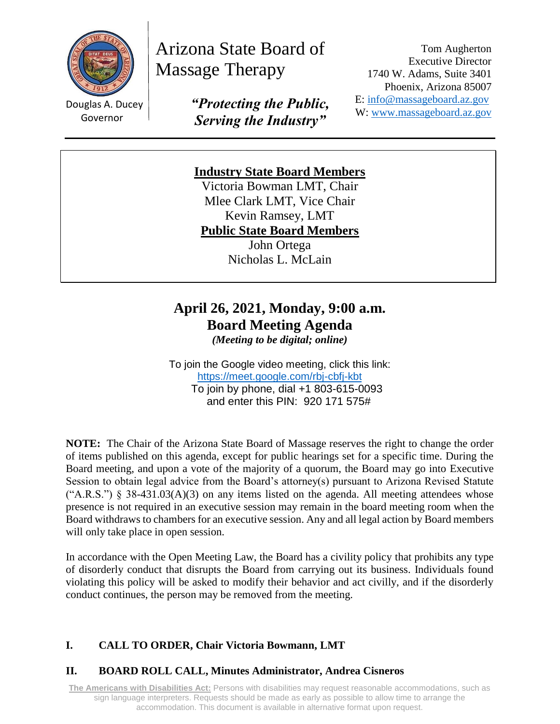

Douglas A. Ducey Governor

Arizona State Board of Massage Therapy

> *"Protecting the Public, Serving the Industry"*

Tom Augherton Executive Director 1740 W. Adams, Suite 3401 Phoenix, Arizona 85007 E: [info@massageboard.az.gov](mailto:info@massageboard.az.gov) W: [www.massageboard.az.gov](http://www.massageboard.az.gov/)

# **Industry State Board Members**

Victoria Bowman LMT, Chair Mlee Clark LMT, Vice Chair Kevin Ramsey, LMT **Public State Board Members**

John Ortega Nicholas L. McLain

# **April 26, 2021, Monday, 9:00 a.m. Board Meeting Agenda**

*(Meeting to be digital; online)*

To join the Google video meeting, click this link: <https://meet.google.com/rbj-cbfj-kbt> To join by phone, dial +1 803-615-0093 and enter this PIN: 920 171 575#

**NOTE:** The Chair of the Arizona State Board of Massage reserves the right to change the order of items published on this agenda, except for public hearings set for a specific time. During the Board meeting, and upon a vote of the majority of a quorum, the Board may go into Executive Session to obtain legal advice from the Board's attorney(s) pursuant to Arizona Revised Statute  $("A.R.S.")$  § 38-431.03(A)(3) on any items listed on the agenda. All meeting attendees whose presence is not required in an executive session may remain in the board meeting room when the Board withdraws to chambers for an executive session. Any and all legal action by Board members will only take place in open session.

In accordance with the Open Meeting Law, the Board has a civility policy that prohibits any type of disorderly conduct that disrupts the Board from carrying out its business. Individuals found violating this policy will be asked to modify their behavior and act civilly, and if the disorderly conduct continues, the person may be removed from the meeting.

## **I. CALL TO ORDER, Chair Victoria Bowmann, LMT**

## **II. BOARD ROLL CALL, Minutes Administrator, Andrea Cisneros**

**The Americans with Disabilities Act:** Persons with disabilities may request reasonable accommodations, such as sign language interpreters. Requests should be made as early as possible to allow time to arrange the accommodation. This document is available in alternative format upon request.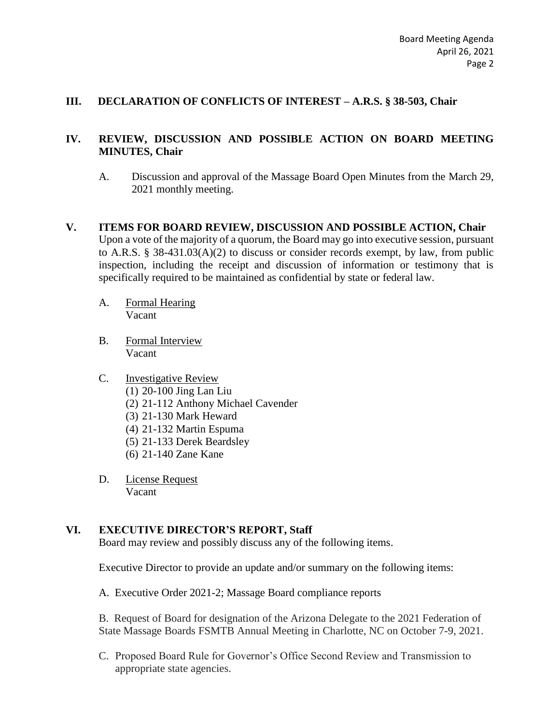#### **III. DECLARATION OF CONFLICTS OF INTEREST – A.R.S. § 38-503, Chair**

#### **IV. REVIEW, DISCUSSION AND POSSIBLE ACTION ON BOARD MEETING MINUTES, Chair**

- A. Discussion and approval of the Massage Board Open Minutes from the March 29, 2021 monthly meeting.
- **V. ITEMS FOR BOARD REVIEW, DISCUSSION AND POSSIBLE ACTION, Chair** Upon a vote of the majority of a quorum, the Board may go into executive session, pursuant to A.R.S. § 38-431.03(A)(2) to discuss or consider records exempt, by law, from public inspection, including the receipt and discussion of information or testimony that is specifically required to be maintained as confidential by state or federal law.
	- A. Formal Hearing Vacant
	- B. Formal Interview Vacant

#### C. Investigative Review

- (1) 20-100 Jing Lan Liu
- (2) 21-112 Anthony Michael Cavender
- (3) 21-130 Mark Heward
- (4) 21-132 Martin Espuma
- (5) 21-133 Derek Beardsley
- (6) 21-140 Zane Kane
- D. License Request Vacant

#### **VI. EXECUTIVE DIRECTOR'S REPORT, Staff**

Board may review and possibly discuss any of the following items.

Executive Director to provide an update and/or summary on the following items:

A. Executive Order 2021-2; Massage Board compliance reports

B. Request of Board for designation of the Arizona Delegate to the 2021 Federation of State Massage Boards FSMTB Annual Meeting in Charlotte, NC on October 7-9, 2021.

C. Proposed Board Rule for Governor's Office Second Review and Transmission to appropriate state agencies.